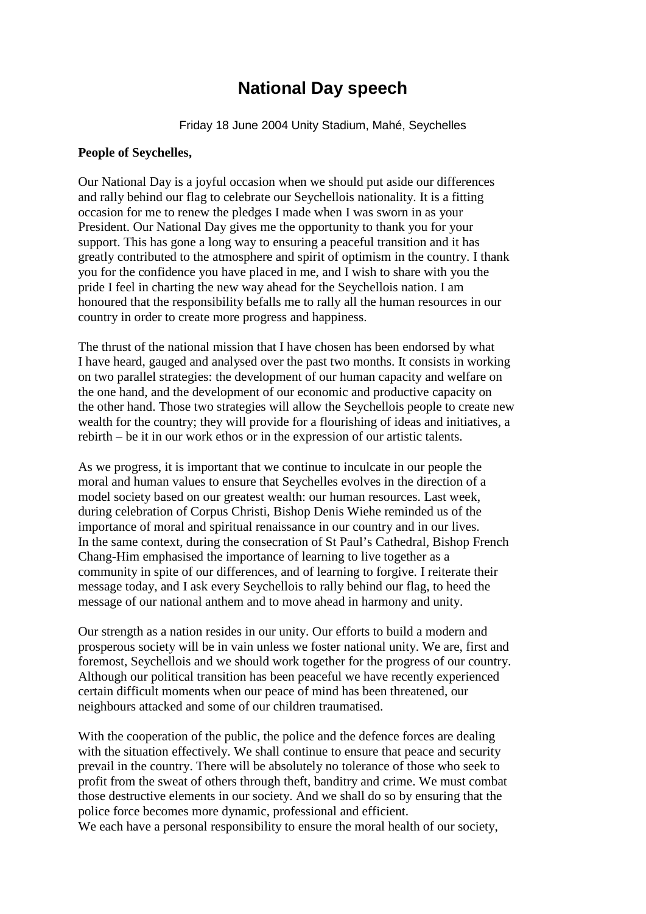## **National Day speech**

Friday 18 June 2004 Unity Stadium, Mahé, Seychelles

## **People of Seychelles,**

Our National Day is a joyful occasion when we should put aside our differences and rally behind our flag to celebrate our Seychellois nationality. It is a fitting occasion for me to renew the pledges I made when I was sworn in as your President. Our National Day gives me the opportunity to thank you for your support. This has gone a long way to ensuring a peaceful transition and it has greatly contributed to the atmosphere and spirit of optimism in the country. I thank you for the confidence you have placed in me, and I wish to share with you the pride I feel in charting the new way ahead for the Seychellois nation. I am honoured that the responsibility befalls me to rally all the human resources in our country in order to create more progress and happiness.

The thrust of the national mission that I have chosen has been endorsed by what I have heard, gauged and analysed over the past two months. It consists in working on two parallel strategies: the development of our human capacity and welfare on the one hand, and the development of our economic and productive capacity on the other hand. Those two strategies will allow the Seychellois people to create new wealth for the country; they will provide for a flourishing of ideas and initiatives, a rebirth – be it in our work ethos or in the expression of our artistic talents.

As we progress, it is important that we continue to inculcate in our people the moral and human values to ensure that Seychelles evolves in the direction of a model society based on our greatest wealth: our human resources. Last week, during celebration of Corpus Christi, Bishop Denis Wiehe reminded us of the importance of moral and spiritual renaissance in our country and in our lives. In the same context, during the consecration of St Paul's Cathedral, Bishop French Chang-Him emphasised the importance of learning to live together as a community in spite of our differences, and of learning to forgive. I reiterate their message today, and I ask every Seychellois to rally behind our flag, to heed the message of our national anthem and to move ahead in harmony and unity.

Our strength as a nation resides in our unity. Our efforts to build a modern and prosperous society will be in vain unless we foster national unity. We are, first and foremost, Seychellois and we should work together for the progress of our country. Although our political transition has been peaceful we have recently experienced certain difficult moments when our peace of mind has been threatened, our neighbours attacked and some of our children traumatised.

With the cooperation of the public, the police and the defence forces are dealing with the situation effectively. We shall continue to ensure that peace and security prevail in the country. There will be absolutely no tolerance of those who seek to profit from the sweat of others through theft, banditry and crime. We must combat those destructive elements in our society. And we shall do so by ensuring that the police force becomes more dynamic, professional and efficient. We each have a personal responsibility to ensure the moral health of our society,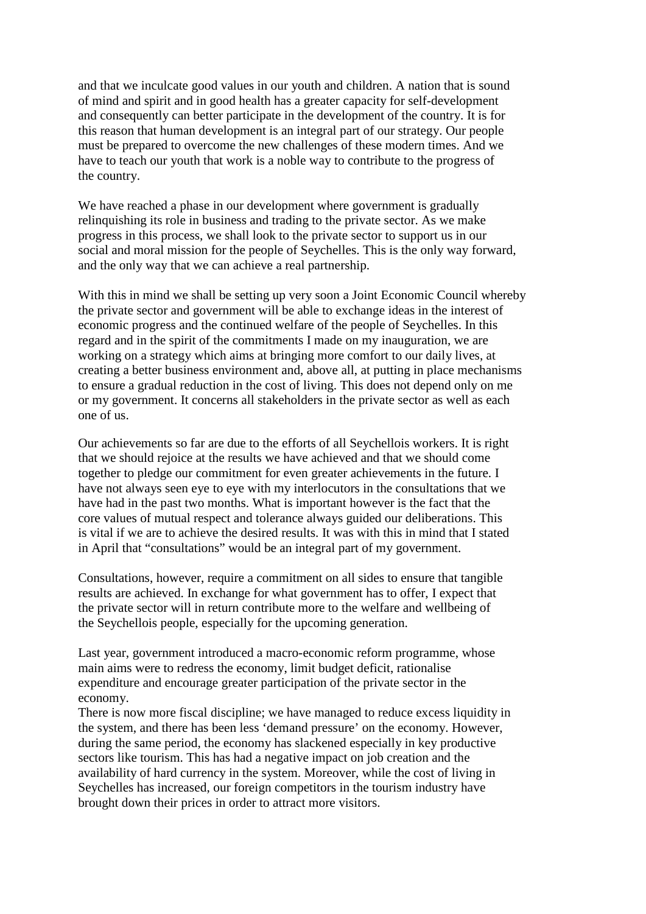and that we inculcate good values in our youth and children. A nation that is sound of mind and spirit and in good health has a greater capacity for self-development and consequently can better participate in the development of the country. It is for this reason that human development is an integral part of our strategy. Our people must be prepared to overcome the new challenges of these modern times. And we have to teach our youth that work is a noble way to contribute to the progress of the country.

We have reached a phase in our development where government is gradually relinquishing its role in business and trading to the private sector. As we make progress in this process, we shall look to the private sector to support us in our social and moral mission for the people of Seychelles. This is the only way forward, and the only way that we can achieve a real partnership.

With this in mind we shall be setting up very soon a Joint Economic Council whereby the private sector and government will be able to exchange ideas in the interest of economic progress and the continued welfare of the people of Seychelles. In this regard and in the spirit of the commitments I made on my inauguration, we are working on a strategy which aims at bringing more comfort to our daily lives, at creating a better business environment and, above all, at putting in place mechanisms to ensure a gradual reduction in the cost of living. This does not depend only on me or my government. It concerns all stakeholders in the private sector as well as each one of us.

Our achievements so far are due to the efforts of all Seychellois workers. It is right that we should rejoice at the results we have achieved and that we should come together to pledge our commitment for even greater achievements in the future. I have not always seen eye to eye with my interlocutors in the consultations that we have had in the past two months. What is important however is the fact that the core values of mutual respect and tolerance always guided our deliberations. This is vital if we are to achieve the desired results. It was with this in mind that I stated in April that "consultations" would be an integral part of my government.

Consultations, however, require a commitment on all sides to ensure that tangible results are achieved. In exchange for what government has to offer, I expect that the private sector will in return contribute more to the welfare and wellbeing of the Seychellois people, especially for the upcoming generation.

Last year, government introduced a macro-economic reform programme, whose main aims were to redress the economy, limit budget deficit, rationalise expenditure and encourage greater participation of the private sector in the economy.

There is now more fiscal discipline; we have managed to reduce excess liquidity in the system, and there has been less 'demand pressure' on the economy. However, during the same period, the economy has slackened especially in key productive sectors like tourism. This has had a negative impact on job creation and the availability of hard currency in the system. Moreover, while the cost of living in Seychelles has increased, our foreign competitors in the tourism industry have brought down their prices in order to attract more visitors.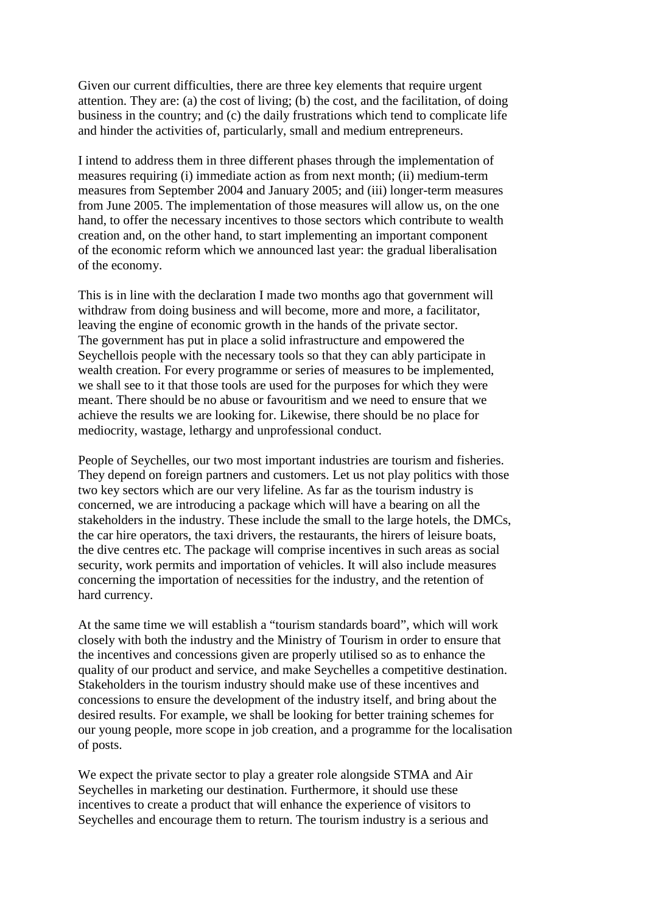Given our current difficulties, there are three key elements that require urgent attention. They are: (a) the cost of living; (b) the cost, and the facilitation, of doing business in the country; and (c) the daily frustrations which tend to complicate life and hinder the activities of, particularly, small and medium entrepreneurs.

I intend to address them in three different phases through the implementation of measures requiring (i) immediate action as from next month; (ii) medium-term measures from September 2004 and January 2005; and (iii) longer-term measures from June 2005. The implementation of those measures will allow us, on the one hand, to offer the necessary incentives to those sectors which contribute to wealth creation and, on the other hand, to start implementing an important component of the economic reform which we announced last year: the gradual liberalisation of the economy.

This is in line with the declaration I made two months ago that government will withdraw from doing business and will become, more and more, a facilitator, leaving the engine of economic growth in the hands of the private sector. The government has put in place a solid infrastructure and empowered the Seychellois people with the necessary tools so that they can ably participate in wealth creation. For every programme or series of measures to be implemented, we shall see to it that those tools are used for the purposes for which they were meant. There should be no abuse or favouritism and we need to ensure that we achieve the results we are looking for. Likewise, there should be no place for mediocrity, wastage, lethargy and unprofessional conduct.

People of Seychelles, our two most important industries are tourism and fisheries. They depend on foreign partners and customers. Let us not play politics with those two key sectors which are our very lifeline. As far as the tourism industry is concerned, we are introducing a package which will have a bearing on all the stakeholders in the industry. These include the small to the large hotels, the DMCs, the car hire operators, the taxi drivers, the restaurants, the hirers of leisure boats, the dive centres etc. The package will comprise incentives in such areas as social security, work permits and importation of vehicles. It will also include measures concerning the importation of necessities for the industry, and the retention of hard currency.

At the same time we will establish a "tourism standards board", which will work closely with both the industry and the Ministry of Tourism in order to ensure that the incentives and concessions given are properly utilised so as to enhance the quality of our product and service, and make Seychelles a competitive destination. Stakeholders in the tourism industry should make use of these incentives and concessions to ensure the development of the industry itself, and bring about the desired results. For example, we shall be looking for better training schemes for our young people, more scope in job creation, and a programme for the localisation of posts.

We expect the private sector to play a greater role alongside STMA and Air Seychelles in marketing our destination. Furthermore, it should use these incentives to create a product that will enhance the experience of visitors to Seychelles and encourage them to return. The tourism industry is a serious and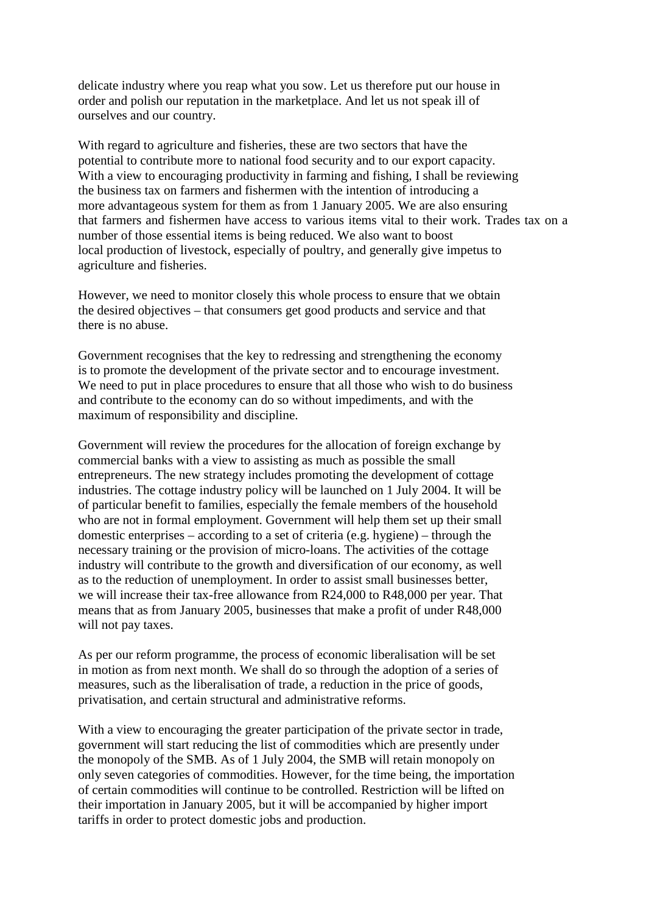delicate industry where you reap what you sow. Let us therefore put our house in order and polish our reputation in the marketplace. And let us not speak ill of ourselves and our country.

With regard to agriculture and fisheries, these are two sectors that have the potential to contribute more to national food security and to our export capacity. With a view to encouraging productivity in farming and fishing, I shall be reviewing the business tax on farmers and fishermen with the intention of introducing a more advantageous system for them as from 1 January 2005. We are also ensuring that farmers and fishermen have access to various items vital to their work. Trades tax on a number of those essential items is being reduced. We also want to boost local production of livestock, especially of poultry, and generally give impetus to agriculture and fisheries.

However, we need to monitor closely this whole process to ensure that we obtain the desired objectives – that consumers get good products and service and that there is no abuse.

Government recognises that the key to redressing and strengthening the economy is to promote the development of the private sector and to encourage investment. We need to put in place procedures to ensure that all those who wish to do business and contribute to the economy can do so without impediments, and with the maximum of responsibility and discipline.

Government will review the procedures for the allocation of foreign exchange by commercial banks with a view to assisting as much as possible the small entrepreneurs. The new strategy includes promoting the development of cottage industries. The cottage industry policy will be launched on 1 July 2004. It will be of particular benefit to families, especially the female members of the household who are not in formal employment. Government will help them set up their small domestic enterprises – according to a set of criteria (e.g. hygiene) – through the necessary training or the provision of micro-loans. The activities of the cottage industry will contribute to the growth and diversification of our economy, as well as to the reduction of unemployment. In order to assist small businesses better, we will increase their tax-free allowance from R24,000 to R48,000 per year. That means that as from January 2005, businesses that make a profit of under R48,000 will not pay taxes.

As per our reform programme, the process of economic liberalisation will be set in motion as from next month. We shall do so through the adoption of a series of measures, such as the liberalisation of trade, a reduction in the price of goods, privatisation, and certain structural and administrative reforms.

With a view to encouraging the greater participation of the private sector in trade, government will start reducing the list of commodities which are presently under the monopoly of the SMB. As of 1 July 2004, the SMB will retain monopoly on only seven categories of commodities. However, for the time being, the importation of certain commodities will continue to be controlled. Restriction will be lifted on their importation in January 2005, but it will be accompanied by higher import tariffs in order to protect domestic jobs and production.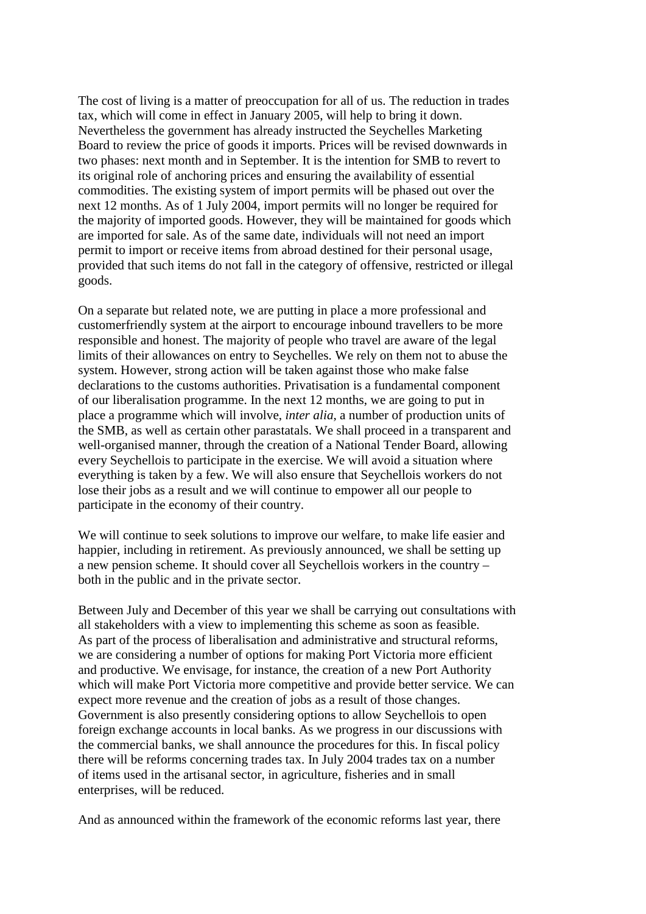The cost of living is a matter of preoccupation for all of us. The reduction in trades tax, which will come in effect in January 2005, will help to bring it down. Nevertheless the government has already instructed the Seychelles Marketing Board to review the price of goods it imports. Prices will be revised downwards in two phases: next month and in September. It is the intention for SMB to revert to its original role of anchoring prices and ensuring the availability of essential commodities. The existing system of import permits will be phased out over the next 12 months. As of 1 July 2004, import permits will no longer be required for the majority of imported goods. However, they will be maintained for goods which are imported for sale. As of the same date, individuals will not need an import permit to import or receive items from abroad destined for their personal usage, provided that such items do not fall in the category of offensive, restricted or illegal goods.

On a separate but related note, we are putting in place a more professional and customerfriendly system at the airport to encourage inbound travellers to be more responsible and honest. The majority of people who travel are aware of the legal limits of their allowances on entry to Seychelles. We rely on them not to abuse the system. However, strong action will be taken against those who make false declarations to the customs authorities. Privatisation is a fundamental component of our liberalisation programme. In the next 12 months, we are going to put in place a programme which will involve, *inter alia*, a number of production units of the SMB, as well as certain other parastatals. We shall proceed in a transparent and well-organised manner, through the creation of a National Tender Board, allowing every Seychellois to participate in the exercise. We will avoid a situation where everything is taken by a few. We will also ensure that Seychellois workers do not lose their jobs as a result and we will continue to empower all our people to participate in the economy of their country.

We will continue to seek solutions to improve our welfare, to make life easier and happier, including in retirement. As previously announced, we shall be setting up a new pension scheme. It should cover all Seychellois workers in the country – both in the public and in the private sector.

Between July and December of this year we shall be carrying out consultations with all stakeholders with a view to implementing this scheme as soon as feasible. As part of the process of liberalisation and administrative and structural reforms, we are considering a number of options for making Port Victoria more efficient and productive. We envisage, for instance, the creation of a new Port Authority which will make Port Victoria more competitive and provide better service. We can expect more revenue and the creation of jobs as a result of those changes. Government is also presently considering options to allow Seychellois to open foreign exchange accounts in local banks. As we progress in our discussions with the commercial banks, we shall announce the procedures for this. In fiscal policy there will be reforms concerning trades tax. In July 2004 trades tax on a number of items used in the artisanal sector, in agriculture, fisheries and in small enterprises, will be reduced.

And as announced within the framework of the economic reforms last year, there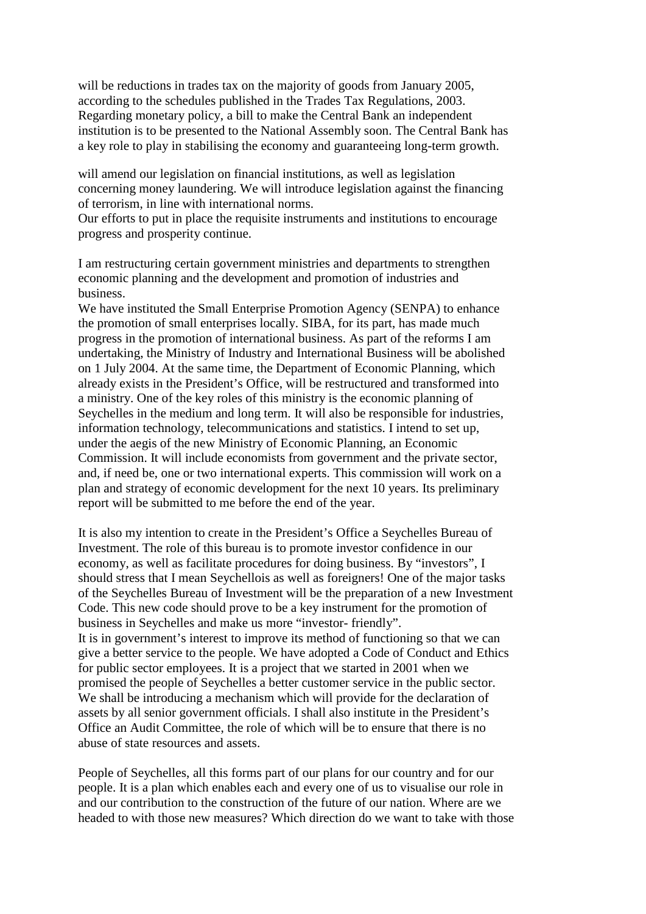will be reductions in trades tax on the majority of goods from January 2005, according to the schedules published in the Trades Tax Regulations, 2003. Regarding monetary policy, a bill to make the Central Bank an independent institution is to be presented to the National Assembly soon. The Central Bank has a key role to play in stabilising the economy and guaranteeing long-term growth.

will amend our legislation on financial institutions, as well as legislation concerning money laundering. We will introduce legislation against the financing of terrorism, in line with international norms.

Our efforts to put in place the requisite instruments and institutions to encourage progress and prosperity continue.

I am restructuring certain government ministries and departments to strengthen economic planning and the development and promotion of industries and business.

We have instituted the Small Enterprise Promotion Agency (SENPA) to enhance the promotion of small enterprises locally. SIBA, for its part, has made much progress in the promotion of international business. As part of the reforms I am undertaking, the Ministry of Industry and International Business will be abolished on 1 July 2004. At the same time, the Department of Economic Planning, which already exists in the President's Office, will be restructured and transformed into a ministry. One of the key roles of this ministry is the economic planning of Seychelles in the medium and long term. It will also be responsible for industries, information technology, telecommunications and statistics. I intend to set up, under the aegis of the new Ministry of Economic Planning, an Economic Commission. It will include economists from government and the private sector, and, if need be, one or two international experts. This commission will work on a plan and strategy of economic development for the next 10 years. Its preliminary report will be submitted to me before the end of the year.

It is also my intention to create in the President's Office a Seychelles Bureau of Investment. The role of this bureau is to promote investor confidence in our economy, as well as facilitate procedures for doing business. By "investors", I should stress that I mean Seychellois as well as foreigners! One of the major tasks of the Seychelles Bureau of Investment will be the preparation of a new Investment Code. This new code should prove to be a key instrument for the promotion of business in Seychelles and make us more "investor- friendly". It is in government's interest to improve its method of functioning so that we can give a better service to the people. We have adopted a Code of Conduct and Ethics for public sector employees. It is a project that we started in 2001 when we promised the people of Seychelles a better customer service in the public sector. We shall be introducing a mechanism which will provide for the declaration of assets by all senior government officials. I shall also institute in the President's Office an Audit Committee, the role of which will be to ensure that there is no abuse of state resources and assets.

People of Seychelles, all this forms part of our plans for our country and for our people. It is a plan which enables each and every one of us to visualise our role in and our contribution to the construction of the future of our nation. Where are we headed to with those new measures? Which direction do we want to take with those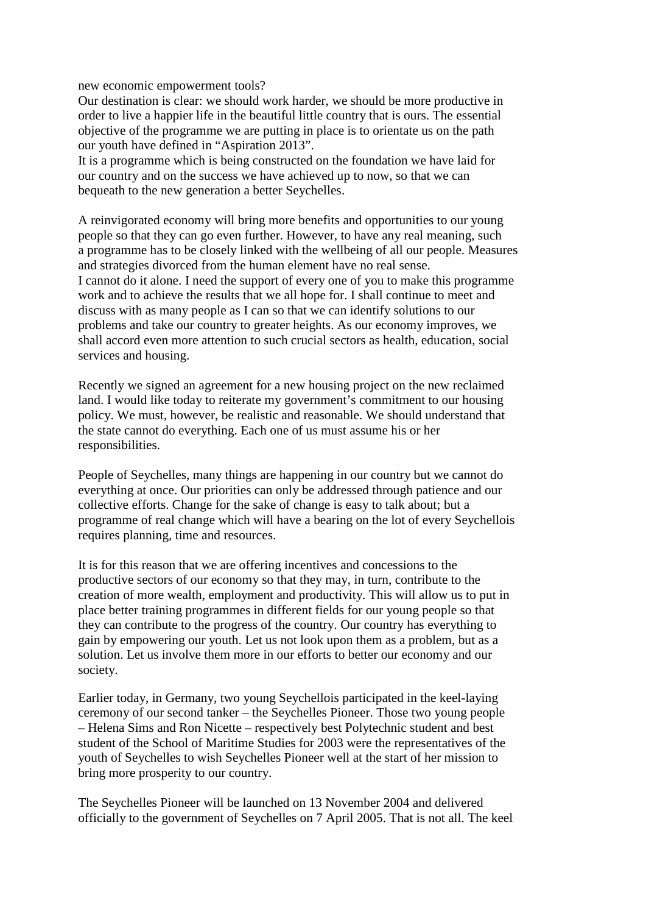new economic empowerment tools?

Our destination is clear: we should work harder, we should be more productive in order to live a happier life in the beautiful little country that is ours. The essential objective of the programme we are putting in place is to orientate us on the path our youth have defined in "Aspiration 2013".

It is a programme which is being constructed on the foundation we have laid for our country and on the success we have achieved up to now, so that we can bequeath to the new generation a better Seychelles.

A reinvigorated economy will bring more benefits and opportunities to our young people so that they can go even further. However, to have any real meaning, such a programme has to be closely linked with the wellbeing of all our people. Measures and strategies divorced from the human element have no real sense. I cannot do it alone. I need the support of every one of you to make this programme work and to achieve the results that we all hope for. I shall continue to meet and discuss with as many people as I can so that we can identify solutions to our problems and take our country to greater heights. As our economy improves, we shall accord even more attention to such crucial sectors as health, education, social services and housing.

Recently we signed an agreement for a new housing project on the new reclaimed land. I would like today to reiterate my government's commitment to our housing policy. We must, however, be realistic and reasonable. We should understand that the state cannot do everything. Each one of us must assume his or her responsibilities.

People of Seychelles, many things are happening in our country but we cannot do everything at once. Our priorities can only be addressed through patience and our collective efforts. Change for the sake of change is easy to talk about; but a programme of real change which will have a bearing on the lot of every Seychellois requires planning, time and resources.

It is for this reason that we are offering incentives and concessions to the productive sectors of our economy so that they may, in turn, contribute to the creation of more wealth, employment and productivity. This will allow us to put in place better training programmes in different fields for our young people so that they can contribute to the progress of the country. Our country has everything to gain by empowering our youth. Let us not look upon them as a problem, but as a solution. Let us involve them more in our efforts to better our economy and our society.

Earlier today, in Germany, two young Seychellois participated in the keel-laying ceremony of our second tanker – the Seychelles Pioneer. Those two young people – Helena Sims and Ron Nicette – respectively best Polytechnic student and best student of the School of Maritime Studies for 2003 were the representatives of the youth of Seychelles to wish Seychelles Pioneer well at the start of her mission to bring more prosperity to our country.

The Seychelles Pioneer will be launched on 13 November 2004 and delivered officially to the government of Seychelles on 7 April 2005. That is not all. The keel